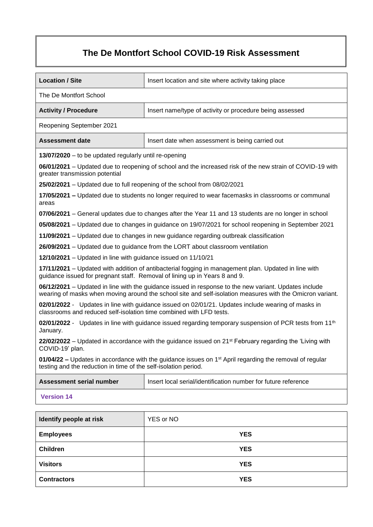# **The De Montfort School COVID-19 Risk Assessment**

| <b>Location / Site</b>                                                                                                                                                                                             | Insert location and site where activity taking place                                                      |  |  |  |  |  |
|--------------------------------------------------------------------------------------------------------------------------------------------------------------------------------------------------------------------|-----------------------------------------------------------------------------------------------------------|--|--|--|--|--|
| The De Montfort School                                                                                                                                                                                             |                                                                                                           |  |  |  |  |  |
| <b>Activity / Procedure</b>                                                                                                                                                                                        | Insert name/type of activity or procedure being assessed                                                  |  |  |  |  |  |
| Reopening September 2021                                                                                                                                                                                           |                                                                                                           |  |  |  |  |  |
| <b>Assessment date</b>                                                                                                                                                                                             | Insert date when assessment is being carried out                                                          |  |  |  |  |  |
| 13/07/2020 – to be updated regularly until re-opening                                                                                                                                                              |                                                                                                           |  |  |  |  |  |
| greater transmission potential                                                                                                                                                                                     | 06/01/2021 – Updated due to reopening of school and the increased risk of the new strain of COVID-19 with |  |  |  |  |  |
| 25/02/2021 - Updated due to full reopening of the school from 08/02/2021                                                                                                                                           |                                                                                                           |  |  |  |  |  |
| areas                                                                                                                                                                                                              | 17/05/2021 – Updated due to students no longer required to wear facemasks in classrooms or communal       |  |  |  |  |  |
|                                                                                                                                                                                                                    | 07/06/2021 – General updates due to changes after the Year 11 and 13 students are no longer in school     |  |  |  |  |  |
|                                                                                                                                                                                                                    | 05/08/2021 – Updated due to changes in guidance on 19/07/2021 for school reopening in September 2021      |  |  |  |  |  |
|                                                                                                                                                                                                                    | 11/09/2021 – Updated due to changes in new guidance regarding outbreak classification                     |  |  |  |  |  |
|                                                                                                                                                                                                                    | 26/09/2021 – Updated due to guidance from the LORT about classroom ventilation                            |  |  |  |  |  |
| 12/10/2021 – Updated in line with guidance issued on 11/10/21                                                                                                                                                      |                                                                                                           |  |  |  |  |  |
| 17/11/2021 – Updated with addition of antibacterial fogging in management plan. Updated in line with<br>guidance issued for pregnant staff. Removal of lining up in Years 8 and 9.                                 |                                                                                                           |  |  |  |  |  |
| 06/12/2021 – Updated in line with the guidance issued in response to the new variant. Updates include<br>wearing of masks when moving around the school site and self-isolation measures with the Omicron variant. |                                                                                                           |  |  |  |  |  |
| 02/01/2022 - Updates in line with guidance issued on 02/01/21. Updates include wearing of masks in<br>classrooms and reduced self-isolation time combined with LFD tests.                                          |                                                                                                           |  |  |  |  |  |
| 02/01/2022 - Updates in line with guidance issued regarding temporary suspension of PCR tests from 11 <sup>th</sup><br>January.                                                                                    |                                                                                                           |  |  |  |  |  |
| 22/02/2022 – Updated in accordance with the guidance issued on 21 <sup>st</sup> February regarding the 'Living with<br>COVID-19' plan.                                                                             |                                                                                                           |  |  |  |  |  |
| 01/04/22 – Updates in accordance with the guidance issues on 1 <sup>st</sup> April regarding the removal of regular<br>testing and the reduction in time of the self-isolation period.                             |                                                                                                           |  |  |  |  |  |
| <b>Assessment serial number</b>                                                                                                                                                                                    | Insert local serial/identification number for future reference                                            |  |  |  |  |  |
| <b>Version 14</b>                                                                                                                                                                                                  |                                                                                                           |  |  |  |  |  |
|                                                                                                                                                                                                                    |                                                                                                           |  |  |  |  |  |
| Identify people at risk                                                                                                                                                                                            | YES or NO                                                                                                 |  |  |  |  |  |
| <b>Employees</b>                                                                                                                                                                                                   | <b>YES</b>                                                                                                |  |  |  |  |  |
| <b>Children</b>                                                                                                                                                                                                    | <b>YES</b>                                                                                                |  |  |  |  |  |
| <b>Visitors</b>                                                                                                                                                                                                    | <b>YES</b>                                                                                                |  |  |  |  |  |

**Contractors YES**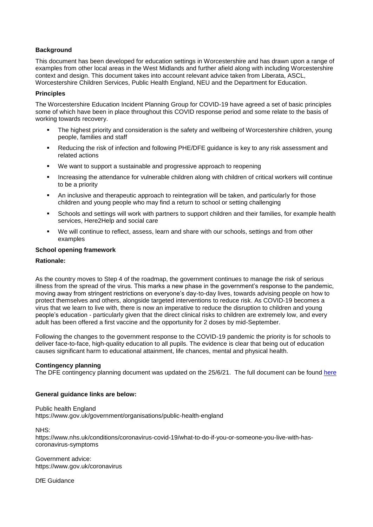## **Background**

This document has been developed for education settings in Worcestershire and has drawn upon a range of examples from other local areas in the West Midlands and further afield along with including Worcestershire context and design. This document takes into account relevant advice taken from Liberata, ASCL, Worcestershire Children Services, Public Health England, NEU and the Department for Education.

## **Principles**

The Worcestershire Education Incident Planning Group for COVID-19 have agreed a set of basic principles some of which have been in place throughout this COVID response period and some relate to the basis of working towards recovery.

- The highest priority and consideration is the safety and wellbeing of Worcestershire children, young people, families and staff
- Reducing the risk of infection and following PHE/DFE guidance is key to any risk assessment and related actions
- We want to support a sustainable and progressive approach to reopening
- Increasing the attendance for vulnerable children along with children of critical workers will continue to be a priority
- An inclusive and therapeutic approach to reintegration will be taken, and particularly for those children and young people who may find a return to school or setting challenging
- Schools and settings will work with partners to support children and their families, for example health services, Here2Help and social care
- We will continue to reflect, assess, learn and share with our schools, settings and from other examples

## **School opening framework**

#### **Rationale:**

As the country moves to Step 4 of the roadmap, the government continues to manage the risk of serious illness from the spread of the virus. This marks a new phase in the government's response to the pandemic, moving away from stringent restrictions on everyone's day-to-day lives, towards advising people on how to protect themselves and others, alongside targeted interventions to reduce risk. As COVID-19 becomes a virus that we learn to live with, there is now an imperative to reduce the disruption to children and young people's education - particularly given that the direct clinical risks to children are extremely low, and every adult has been offered a first vaccine and the opportunity for 2 doses by mid-September.

Following the changes to the government response to the COVID-19 pandemic the priority is for schools to deliver face-to-face, high-quality education to all pupils. The evidence is clear that being out of education causes significant harm to educational attainment, life chances, mental and physical health.

#### **Contingency planning**

The DFE contingency planning document was updated on the 25/6/21. The full document can be found [here](https://www.gov.uk/government/publications/coronavirus-covid-19-contingency-framework-for-education-and-childcare-settings/contingency-framework-education-and-childcare-settings-excluding-universities)

#### **General guidance links are below:**

Public health England <https://www.gov.uk/government/organisations/public-health-england>

NHS:

[https://www.nhs.uk/conditions/coronavirus-covid-19/what-to-do-if-you-or-someone-you-live-with-has](https://www.nhs.uk/conditions/coronavirus-covid-19/what-to-do-if-you-or-someone-you-live-with-has-coronavirus-symptoms)[coronavirus-symptoms](https://www.nhs.uk/conditions/coronavirus-covid-19/what-to-do-if-you-or-someone-you-live-with-has-coronavirus-symptoms)

Government advice: <https://www.gov.uk/coronavirus>

DfE Guidance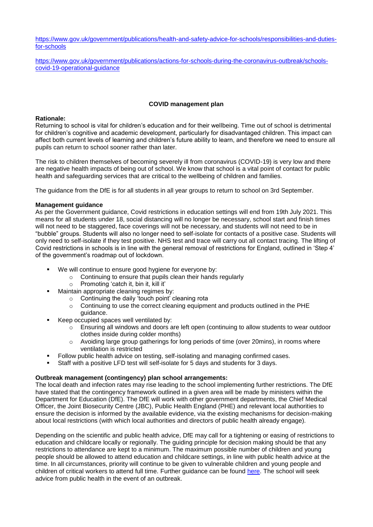[https://www.gov.uk/government/publications/health-and-safety-advice-for-schools/responsibilities-and-duties](https://www.gov.uk/government/publications/health-and-safety-advice-for-schools/responsibilities-and-duties-for-schools)[for-schools](https://www.gov.uk/government/publications/health-and-safety-advice-for-schools/responsibilities-and-duties-for-schools)

[https://www.gov.uk/government/publications/actions-for-schools-during-the-coronavirus-outbreak/schools](https://www.gov.uk/government/publications/actions-for-schools-during-the-coronavirus-outbreak/schools-covid-19-operational-guidance)[covid-19-operational-guidance](https://www.gov.uk/government/publications/actions-for-schools-during-the-coronavirus-outbreak/schools-covid-19-operational-guidance)

## **COVID management plan**

#### **Rationale:**

Returning to school is vital for children's education and for their wellbeing. Time out of school is detrimental for children's cognitive and academic development, particularly for disadvantaged children. This impact can affect both current levels of learning and children's future ability to learn, and therefore we need to ensure all pupils can return to school sooner rather than later.

The risk to children themselves of becoming severely ill from coronavirus (COVID-19) is very low and there are negative health impacts of being out of school. We know that school is a vital point of contact for public health and safeguarding services that are critical to the wellbeing of children and families.

The guidance from the DfE is for all students in all year groups to return to school on 3rd September.

## **Management guidance**

As per the Government guidance, Covid restrictions in education settings will end from 19th July 2021. This means for all students under 18, social distancing will no longer be necessary, school start and finish times will not need to be staggered, face coverings will not be necessary, and students will not need to be in "bubble" groups. Students will also no longer need to self-isolate for contacts of a positive case. Students will only need to self-isolate if they test positive. NHS test and trace will carry out all contact tracing. The lifting of Covid restrictions in schools is in line with the general removal of restrictions for England, outlined in 'Step 4' of the government's roadmap out of lockdown.

- We will continue to ensure good hygiene for everyone by:
	- o Continuing to ensure that pupils clean their hands regularly
	- o Promoting 'catch it, bin it, kill it'
- Maintain appropriate cleaning regimes by:
	- Continuing the daily 'touch point' cleaning rota
	- $\circ$  Continuing to use the correct cleaning equipment and products outlined in the PHE guidance.
- Keep occupied spaces well ventilated by:
	- $\circ$  Ensuring all windows and doors are left open (continuing to allow students to wear outdoor clothes inside during colder months)
	- o Avoiding large group gatherings for long periods of time (over 20mins), in rooms where ventilation is restricted
- Follow public health advice on testing, self-isolating and managing confirmed cases.
- Staff with a positive LFD test will self-isolate for 5 days and students for 3 days.

## **Outbreak management (contingency) plan school arrangements:**

The local death and infection rates may rise leading to the school implementing further restrictions. The DfE have stated that the contingency framework outlined in a given area will be made by ministers within the Department for Education (DfE). The DfE will work with other government departments, the Chief Medical Officer, the Joint Biosecurity Centre (JBC), Public Health England (PHE) and relevant local authorities to ensure the decision is informed by the available evidence, via the existing mechanisms for decision-making about local restrictions (with which local authorities and directors of public health already engage).

Depending on the scientific and public health advice, DfE may call for a tightening or easing of restrictions to education and childcare locally or regionally. The guiding principle for decision making should be that any restrictions to attendance are kept to a minimum. The maximum possible number of children and young people should be allowed to attend education and childcare settings, in line with public health advice at the time. In all circumstances, priority will continue to be given to vulnerable children and young people and children of critical workers to attend full time. Further guidance can be found [here.](https://www.gov.uk/government/publications/coronavirus-covid-19-contingency-framework-for-education-and-childcare-settings/contingency-framework-education-and-childcare-settings-excluding-universities) The school will seek advice from public health in the event of an outbreak.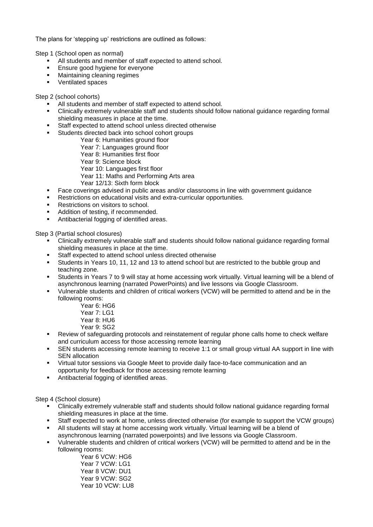The plans for 'stepping up' restrictions are outlined as follows:

Step 1 (School open as normal)

- All students and member of staff expected to attend school.
- Ensure good hygiene for everyone
- Maintaining cleaning regimes
- Ventilated spaces

Step 2 (school cohorts)

- All students and member of staff expected to attend school.
- Clinically extremely vulnerable staff and students should follow national guidance regarding formal shielding measures in place at the time.
- Staff expected to attend school unless directed otherwise
- Students directed back into school cohort groups
	- Year 6: Humanities ground floor
	- Year 7: Languages ground floor
	- Year 8: Humanities first floor
	- Year 9: Science block
	- Year 10: Languages first floor
	- Year 11: Maths and Performing Arts area
	- Year 12/13: Sixth form block
- Face coverings advised in public areas and/or classrooms in line with government guidance
- Restrictions on educational visits and extra-curricular opportunities.
- Restrictions on visitors to school.
- Addition of testing, if recommended.
- Antibacterial fogging of identified areas.

Step 3 (Partial school closures)

- Clinically extremely vulnerable staff and students should follow national guidance regarding formal shielding measures in place at the time.
- Staff expected to attend school unless directed otherwise
- Students in Years 10, 11, 12 and 13 to attend school but are restricted to the bubble group and teaching zone.
- Students in Years 7 to 9 will stay at home accessing work virtually. Virtual learning will be a blend of asynchronous learning (narrated PowerPoints) and live lessons via Google Classroom.
- Vulnerable students and children of critical workers (VCW) will be permitted to attend and be in the following rooms:
	- Year 6: HG6
	- Year 7: LG1
	- Year 8: HU6
	- Year 9: SG2
- Review of safeguarding protocols and reinstatement of regular phone calls home to check welfare and curriculum access for those accessing remote learning
- **•** SEN students accessing remote learning to receive 1:1 or small group virtual AA support in line with SEN allocation
- Virtual tutor sessions via Google Meet to provide daily face-to-face communication and an opportunity for feedback for those accessing remote learning
- Antibacterial fogging of identified areas.

Step 4 (School closure)

- Clinically extremely vulnerable staff and students should follow national guidance regarding formal shielding measures in place at the time.
- Staff expected to work at home, unless directed otherwise (for example to support the VCW groups)
- All students will stay at home accessing work virtually. Virtual learning will be a blend of asynchronous learning (narrated powerpoints) and live lessons via Google Classroom.
- Vulnerable students and children of critical workers (VCW) will be permitted to attend and be in the following rooms:

Year 6 VCW: HG6 Year 7 VCW: LG1 Year 8 VCW: DU1 Year 9 VCW: SG2 Year 10 VCW: LU8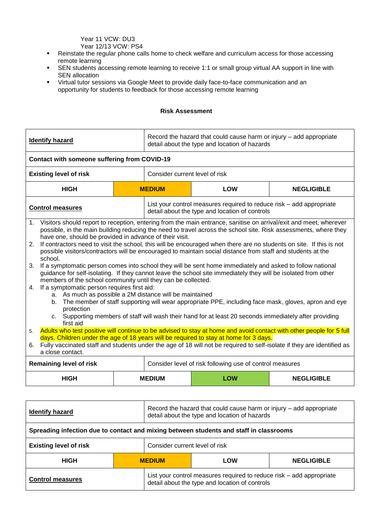Year 11 VCW: DU3 Year 12/13 VCW: PS4

- Reinstate the regular phone calls home to check welfare and curriculum access for those accessing remote learning
- SEN students accessing remote learning to receive 1:1 or small group virtual AA support in line with SEN allocation
- Virtual tutor sessions via Google Meet to provide daily face-to-face communication and an opportunity for students to feedback for those accessing remote learning

### **Risk Assessment**

|                | <b>Identify hazard</b>                                                                                                                                                                                                                                                                                                                                                                                                                                                                                                                      |  | Record the hazard that could cause harm or injury – add appropriate<br>detail about the type and location of hazards |                                                                                                                        |                   |
|----------------|---------------------------------------------------------------------------------------------------------------------------------------------------------------------------------------------------------------------------------------------------------------------------------------------------------------------------------------------------------------------------------------------------------------------------------------------------------------------------------------------------------------------------------------------|--|----------------------------------------------------------------------------------------------------------------------|------------------------------------------------------------------------------------------------------------------------|-------------------|
|                | Contact with someone suffering from COVID-19                                                                                                                                                                                                                                                                                                                                                                                                                                                                                                |  |                                                                                                                      |                                                                                                                        |                   |
|                | <b>Existing level of risk</b>                                                                                                                                                                                                                                                                                                                                                                                                                                                                                                               |  | Consider current level of risk                                                                                       |                                                                                                                        |                   |
|                | <b>HIGH</b>                                                                                                                                                                                                                                                                                                                                                                                                                                                                                                                                 |  | <b>MEDIUM</b>                                                                                                        | <b>LOW</b>                                                                                                             | <b>NEGLIGIBLE</b> |
|                | <b>Control measures</b>                                                                                                                                                                                                                                                                                                                                                                                                                                                                                                                     |  |                                                                                                                      | List your control measures required to reduce risk - add appropriate<br>detail about the type and location of controls |                   |
|                | 1. Visitors should report to reception, entering from the main entrance, sanitise on arrival/exit and meet, wherever<br>possible, in the main building reducing the need to travel across the school site. Risk assessments, where they<br>have one, should be provided in advance of their visit.<br>2. If contractors need to visit the school, this will be encouraged when there are no students on site. If this is not<br>possible visitors/contractors will be encouraged to maintain social distance from staff and students at the |  |                                                                                                                      |                                                                                                                        |                   |
| 3.             | school.<br>If a symptomatic person comes into school they will be sent home immediately and asked to follow national<br>guidance for self-isolating. If they cannot leave the school site immediately they will be isolated from other<br>members of the school community until they can be collected.                                                                                                                                                                                                                                      |  |                                                                                                                      |                                                                                                                        |                   |
| 5 <sub>1</sub> | If a symptomatic person requires first aid:<br>4.<br>a. As much as possible a 2M distance will be maintained<br>The member of staff supporting will wear appropriate PPE, including face mask, gloves, apron and eye<br>b.<br>protection<br>Supporting members of staff will wash their hand for at least 20 seconds immediately after providing<br>C.<br>first aid<br>Adults who test positive will continue to be advised to stay at home and avoid contact with other people for 5 full                                                  |  |                                                                                                                      |                                                                                                                        |                   |
| 6.             | days. Children under the age of 18 years will be required to stay at home for 3 days.<br>Fully vaccinated staff and students under the age of 18 will not be required to self-isolate if they are identified as<br>a close contact.                                                                                                                                                                                                                                                                                                         |  |                                                                                                                      |                                                                                                                        |                   |
|                | <b>Remaining level of risk</b>                                                                                                                                                                                                                                                                                                                                                                                                                                                                                                              |  |                                                                                                                      | Consider level of risk following use of control measures                                                               |                   |
|                | <b>HIGH</b>                                                                                                                                                                                                                                                                                                                                                                                                                                                                                                                                 |  | <b>MEDIUM</b>                                                                                                        | LOW                                                                                                                    | <b>NEGLIGIBLE</b> |
|                |                                                                                                                                                                                                                                                                                                                                                                                                                                                                                                                                             |  |                                                                                                                      |                                                                                                                        |                   |

| <b>Identify hazard</b>                                                                 |  | Record the hazard that could cause harm or injury – add appropriate<br>detail about the type and location of hazards   |     |                   |
|----------------------------------------------------------------------------------------|--|------------------------------------------------------------------------------------------------------------------------|-----|-------------------|
| Spreading infection due to contact and mixing between students and staff in classrooms |  |                                                                                                                        |     |                   |
| <b>Existing level of risk</b>                                                          |  | Consider current level of risk                                                                                         |     |                   |
| <b>HIGH</b>                                                                            |  | <b>MEDIUM</b>                                                                                                          | LOW | <b>NEGLIGIBLE</b> |
| <b>Control measures</b>                                                                |  | List your control measures required to reduce risk - add appropriate<br>detail about the type and location of controls |     |                   |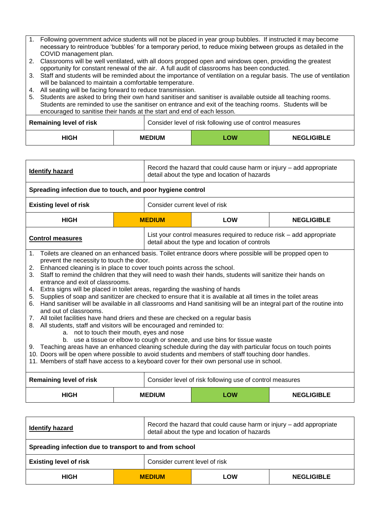- 1. Following government advice students will not be placed in year group bubbles. If instructed it may become necessary to reintroduce 'bubbles' for a temporary period, to reduce mixing between groups as detailed in the COVID management plan.
- 2. Classrooms will be well ventilated, with all doors propped open and windows open, providing the greatest opportunity for constant renewal of the air. A full audit of classrooms has been conducted.
- 3. Staff and students will be reminded about the importance of ventilation on a regular basis. The use of ventilation will be balanced to maintain a comfortable temperature.
- 4. All seating will be facing forward to reduce transmission.

| 5. Students are asked to bring their own hand sanitiser and sanitiser is available outside all teaching rooms.<br>Students are reminded to use the sanitiser on entrance and exit of the teaching rooms. Students will be<br>encouraged to sanitise their hands at the start and end of each lesson. |                                                          |  |     |                   |
|------------------------------------------------------------------------------------------------------------------------------------------------------------------------------------------------------------------------------------------------------------------------------------------------------|----------------------------------------------------------|--|-----|-------------------|
| <b>Remaining level of risk</b>                                                                                                                                                                                                                                                                       | Consider level of risk following use of control measures |  |     |                   |
| HIGH                                                                                                                                                                                                                                                                                                 | <b>MEDIUM</b>                                            |  | LOW | <b>NEGLIGIBLE</b> |

| Record the hazard that could cause harm or injury – add appropriate<br><b>Identify hazard</b><br>detail about the type and location of hazards                                                                                                                                                                                                                                                                                                                                                                                                                                                                                                                                                                                                                                                                                                                                                                                                                                                                                                                                                                                                                                                                                                                                                                                                                                     |  |                                                  |                                                                                                                        |                   |
|------------------------------------------------------------------------------------------------------------------------------------------------------------------------------------------------------------------------------------------------------------------------------------------------------------------------------------------------------------------------------------------------------------------------------------------------------------------------------------------------------------------------------------------------------------------------------------------------------------------------------------------------------------------------------------------------------------------------------------------------------------------------------------------------------------------------------------------------------------------------------------------------------------------------------------------------------------------------------------------------------------------------------------------------------------------------------------------------------------------------------------------------------------------------------------------------------------------------------------------------------------------------------------------------------------------------------------------------------------------------------------|--|--------------------------------------------------|------------------------------------------------------------------------------------------------------------------------|-------------------|
| Spreading infection due to touch, and poor hygiene control                                                                                                                                                                                                                                                                                                                                                                                                                                                                                                                                                                                                                                                                                                                                                                                                                                                                                                                                                                                                                                                                                                                                                                                                                                                                                                                         |  |                                                  |                                                                                                                        |                   |
| <b>Existing level of risk</b>                                                                                                                                                                                                                                                                                                                                                                                                                                                                                                                                                                                                                                                                                                                                                                                                                                                                                                                                                                                                                                                                                                                                                                                                                                                                                                                                                      |  | Consider current level of risk                   |                                                                                                                        |                   |
| <b>HIGH</b>                                                                                                                                                                                                                                                                                                                                                                                                                                                                                                                                                                                                                                                                                                                                                                                                                                                                                                                                                                                                                                                                                                                                                                                                                                                                                                                                                                        |  | <b>MEDIUM</b>                                    | <b>LOW</b>                                                                                                             | <b>NEGLIGIBLE</b> |
| <b>Control measures</b>                                                                                                                                                                                                                                                                                                                                                                                                                                                                                                                                                                                                                                                                                                                                                                                                                                                                                                                                                                                                                                                                                                                                                                                                                                                                                                                                                            |  |                                                  | List your control measures required to reduce risk – add appropriate<br>detail about the type and location of controls |                   |
| 1. Toilets are cleaned on an enhanced basis. Toilet entrance doors where possible will be propped open to<br>prevent the necessity to touch the door.<br>Enhanced cleaning is in place to cover touch points across the school.<br>2.<br>Staff to remind the children that they will need to wash their hands, students will sanitize their hands on<br>3 <sub>1</sub><br>entrance and exit of classrooms.<br>4. Extra signs will be placed in toilet areas, regarding the washing of hands<br>Supplies of soap and sanitizer are checked to ensure that it is available at all times in the toilet areas<br>5.<br>6. Hand sanitiser will be available in all classrooms and Hand sanitising will be an integral part of the routine into<br>and out of classrooms.<br>7. All toilet facilities have hand driers and these are checked on a regular basis<br>8. All students, staff and visitors will be encouraged and reminded to:<br>a. not to touch their mouth, eyes and nose<br>b. use a tissue or elbow to cough or sneeze, and use bins for tissue waste<br>9. Teaching areas have an enhanced cleaning schedule during the day with particular focus on touch points<br>10. Doors will be open where possible to avoid students and members of staff touching door handles.<br>11. Members of staff have access to a keyboard cover for their own personal use in school. |  |                                                  |                                                                                                                        |                   |
| <b>Remaining level of risk</b>                                                                                                                                                                                                                                                                                                                                                                                                                                                                                                                                                                                                                                                                                                                                                                                                                                                                                                                                                                                                                                                                                                                                                                                                                                                                                                                                                     |  |                                                  | Consider level of risk following use of control measures                                                               |                   |
| <b>HIGH</b>                                                                                                                                                                                                                                                                                                                                                                                                                                                                                                                                                                                                                                                                                                                                                                                                                                                                                                                                                                                                                                                                                                                                                                                                                                                                                                                                                                        |  | <b>MEDIUM</b><br><b>LOW</b><br><b>NEGLIGIBLE</b> |                                                                                                                        |                   |

| <b>Identify hazard</b>                                  |               | Record the hazard that could cause harm or injury – add appropriate<br>detail about the type and location of hazards |            |                   |
|---------------------------------------------------------|---------------|----------------------------------------------------------------------------------------------------------------------|------------|-------------------|
| Spreading infection due to transport to and from school |               |                                                                                                                      |            |                   |
| <b>Existing level of risk</b>                           |               | Consider current level of risk                                                                                       |            |                   |
| <b>HIGH</b>                                             | <b>MEDIUM</b> |                                                                                                                      | <b>LOW</b> | <b>NEGLIGIBLE</b> |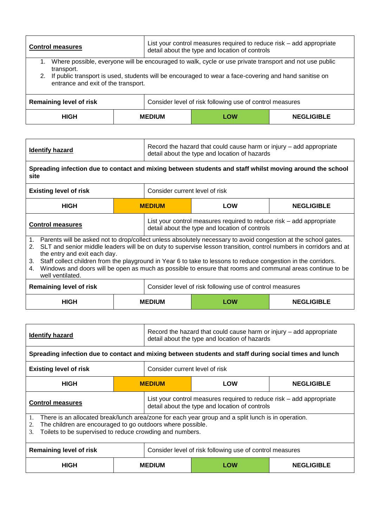| <b>Control measures</b>                                                                                                                                                                                                                   |               | List your control measures required to reduce risk – add appropriate<br>detail about the type and location of controls |                   |  |  |
|-------------------------------------------------------------------------------------------------------------------------------------------------------------------------------------------------------------------------------------------|---------------|------------------------------------------------------------------------------------------------------------------------|-------------------|--|--|
| Where possible, everyone will be encouraged to walk, cycle or use private transport and not use public<br>1.<br>transport.<br>If public transport is used, students will be encouraged to wear a face-covering and hand sanitise on<br>2. |               |                                                                                                                        |                   |  |  |
| entrance and exit of the transport.                                                                                                                                                                                                       |               |                                                                                                                        |                   |  |  |
| <b>Remaining level of risk</b>                                                                                                                                                                                                            |               | Consider level of risk following use of control measures                                                               |                   |  |  |
| <b>HIGH</b>                                                                                                                                                                                                                               | <b>MEDIUM</b> | LOW                                                                                                                    | <b>NEGLIGIBLE</b> |  |  |

| <b>Identify hazard</b> | Record the hazard that could cause harm or injury – add appropriate<br>detail about the type and location of hazards |
|------------------------|----------------------------------------------------------------------------------------------------------------------|
|------------------------|----------------------------------------------------------------------------------------------------------------------|

**Spreading infection due to contact and mixing between students and staff whilst moving around the school site**

| <b>Existing level of risk</b>                                                                                                                                                                                                                                                                                                                                                                                                                                                                                                            |               | Consider current level of risk                 |                                                                      |  |
|------------------------------------------------------------------------------------------------------------------------------------------------------------------------------------------------------------------------------------------------------------------------------------------------------------------------------------------------------------------------------------------------------------------------------------------------------------------------------------------------------------------------------------------|---------------|------------------------------------------------|----------------------------------------------------------------------|--|
| <b>HIGH</b>                                                                                                                                                                                                                                                                                                                                                                                                                                                                                                                              | <b>MEDIUM</b> | LOW                                            | <b>NEGLIGIBLE</b>                                                    |  |
| <b>Control measures</b>                                                                                                                                                                                                                                                                                                                                                                                                                                                                                                                  |               | detail about the type and location of controls | List your control measures required to reduce risk - add appropriate |  |
| 1. Parents will be asked not to drop/collect unless absolutely necessary to avoid congestion at the school gates.<br>2. SLT and senior middle leaders will be on duty to supervise lesson transition, control numbers in corridors and at<br>the entry and exit each day.<br>Staff collect children from the playground in Year 6 to take to lessons to reduce congestion in the corridors.<br>3.<br>Windows and doors will be open as much as possible to ensure that rooms and communal areas continue to be<br>4.<br>well ventilated. |               |                                                |                                                                      |  |

| <b>Remaining level of risk</b> |               | Consider level of risk following use of control measures |     |                   |
|--------------------------------|---------------|----------------------------------------------------------|-----|-------------------|
| HIGH                           | <b>MEDIUM</b> |                                                          | LOW | <b>NEGLIGIBLE</b> |

| <b>Identify hazard</b>                                                                                                                                                                                                                         |  | Record the hazard that could cause harm or injury – add appropriate<br>detail about the type and location of hazards   |            |                   |
|------------------------------------------------------------------------------------------------------------------------------------------------------------------------------------------------------------------------------------------------|--|------------------------------------------------------------------------------------------------------------------------|------------|-------------------|
| Spreading infection due to contact and mixing between students and staff during social times and lunch                                                                                                                                         |  |                                                                                                                        |            |                   |
| Consider current level of risk<br><b>Existing level of risk</b>                                                                                                                                                                                |  |                                                                                                                        |            |                   |
| <b>HIGH</b>                                                                                                                                                                                                                                    |  | <b>MEDIUM</b>                                                                                                          | <b>LOW</b> | <b>NEGLIGIBLE</b> |
| <b>Control measures</b>                                                                                                                                                                                                                        |  | List your control measures required to reduce risk – add appropriate<br>detail about the type and location of controls |            |                   |
| There is an allocated break/lunch area/zone for each year group and a split lunch is in operation.<br>1.<br>The children are encouraged to go outdoors where possible.<br>2.<br>Toilets to be supervised to reduce crowding and numbers.<br>3. |  |                                                                                                                        |            |                   |
| Consider level of risk following use of control measures<br>Remaining level of risk                                                                                                                                                            |  |                                                                                                                        |            |                   |
| <b>HIGH</b>                                                                                                                                                                                                                                    |  | <b>MEDIUM</b>                                                                                                          | LOW        | <b>NEGLIGIBLE</b> |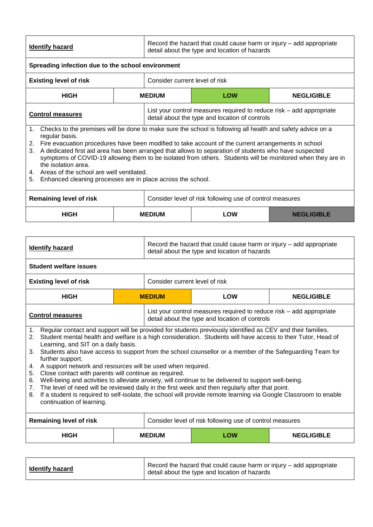| <b>Identify hazard</b> | Record the hazard that could cause harm or injury – add appropriate<br>detail about the type and location of hazards |
|------------------------|----------------------------------------------------------------------------------------------------------------------|
|                        |                                                                                                                      |

| Spreading infection due to the school environment |  |                                                                                                                        |                                                                                                            |                   |  |  |
|---------------------------------------------------|--|------------------------------------------------------------------------------------------------------------------------|------------------------------------------------------------------------------------------------------------|-------------------|--|--|
| <b>Existing level of risk</b>                     |  | Consider current level of risk                                                                                         |                                                                                                            |                   |  |  |
| <b>HIGH</b>                                       |  | <b>MEDIUM</b>                                                                                                          | <b>LOW</b>                                                                                                 | <b>NEGLIGIBLE</b> |  |  |
| <b>Control measures</b>                           |  | List your control measures required to reduce risk - add appropriate<br>detail about the type and location of controls |                                                                                                            |                   |  |  |
|                                                   |  |                                                                                                                        | Checks to the premises will be done to make sure the school is following all health and safety advice on a |                   |  |  |

regular basis.

- 2. Fire evacuation procedures have been modified to take account of the current arrangements in school
- 3. A dedicated first aid area has been arranged that allows to separation of students who have suspected symptoms of COVID-19 allowing them to be isolated from others. Students will be monitored when they are in the isolation area.
- 4. Areas of the school are well ventilated.
- 5. Enhanced cleaning processes are in place across the school.

| <b>Remaining level of risk</b> |               | Consider level of risk following use of control measures |     |                   |  |
|--------------------------------|---------------|----------------------------------------------------------|-----|-------------------|--|
| <b>HIGH</b>                    | <b>MEDIUM</b> |                                                          | LOW | <b>NEGLIGIBLE</b> |  |

| <b>Identify hazard</b>                                                                                                                                                                                                                                                                                                                                                                                                                                                                                                                                                                                                                                                                                                                                                                                                                                                                                                                |               | Record the hazard that could cause harm or injury – add appropriate<br>detail about the type and location of hazards   |            |                   |  |  |
|---------------------------------------------------------------------------------------------------------------------------------------------------------------------------------------------------------------------------------------------------------------------------------------------------------------------------------------------------------------------------------------------------------------------------------------------------------------------------------------------------------------------------------------------------------------------------------------------------------------------------------------------------------------------------------------------------------------------------------------------------------------------------------------------------------------------------------------------------------------------------------------------------------------------------------------|---------------|------------------------------------------------------------------------------------------------------------------------|------------|-------------------|--|--|
| <b>Student welfare issues</b>                                                                                                                                                                                                                                                                                                                                                                                                                                                                                                                                                                                                                                                                                                                                                                                                                                                                                                         |               |                                                                                                                        |            |                   |  |  |
| <b>Existing level of risk</b>                                                                                                                                                                                                                                                                                                                                                                                                                                                                                                                                                                                                                                                                                                                                                                                                                                                                                                         |               | Consider current level of risk                                                                                         |            |                   |  |  |
| <b>HIGH</b>                                                                                                                                                                                                                                                                                                                                                                                                                                                                                                                                                                                                                                                                                                                                                                                                                                                                                                                           | <b>MEDIUM</b> |                                                                                                                        | <b>LOW</b> | <b>NEGLIGIBLE</b> |  |  |
| <b>Control measures</b>                                                                                                                                                                                                                                                                                                                                                                                                                                                                                                                                                                                                                                                                                                                                                                                                                                                                                                               |               | List your control measures required to reduce risk – add appropriate<br>detail about the type and location of controls |            |                   |  |  |
| Regular contact and support will be provided for students previously identified as CEV and their families.<br>1.<br>Student mental health and welfare is a high consideration. Students will have access to their Tutor, Head of<br>2.<br>Learning, and SIT on a daily basis.<br>Students also have access to support from the school counsellor or a member of the Safeguarding Team for<br>3.<br>further support.<br>A support network and resources will be used when required.<br>4.<br>Close contact with parents will continue as required.<br>5.<br>Well-being and activities to alleviate anxiety, will continue to be delivered to support well-being.<br>6.<br>The level of need will be reviewed daily in the first week and then regularly after that point.<br>7.<br>If a student is required to self-isolate, the school will provide remote learning via Google Classroom to enable<br>8.<br>continuation of learning. |               |                                                                                                                        |            |                   |  |  |
| <b>Remaining level of risk</b>                                                                                                                                                                                                                                                                                                                                                                                                                                                                                                                                                                                                                                                                                                                                                                                                                                                                                                        |               | Consider level of risk following use of control measures                                                               |            |                   |  |  |
| <b>HIGH</b>                                                                                                                                                                                                                                                                                                                                                                                                                                                                                                                                                                                                                                                                                                                                                                                                                                                                                                                           |               | <b>MEDIUM</b>                                                                                                          | <b>LOW</b> | <b>NEGLIGIBLE</b> |  |  |